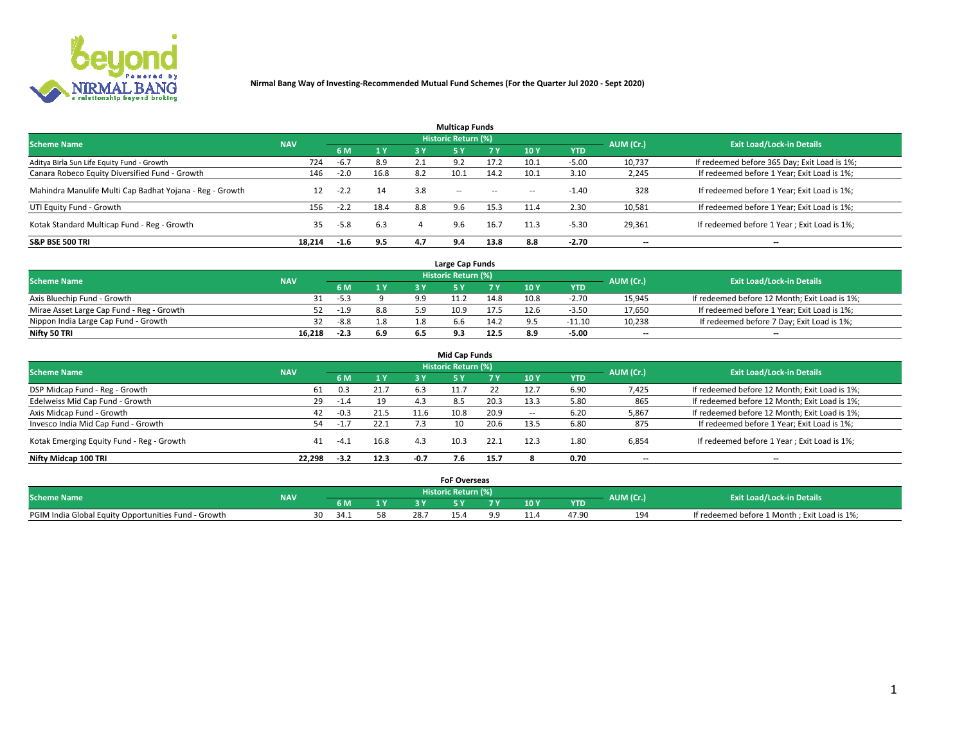

|                                                          |            |        |      |     | <b>Multicap Funds</b> |           |                          |            |           |                                              |
|----------------------------------------------------------|------------|--------|------|-----|-----------------------|-----------|--------------------------|------------|-----------|----------------------------------------------|
| <b>Scheme Name</b>                                       | <b>NAV</b> |        |      |     | Historic Return (%)   |           |                          |            | AUM (Cr.) | <b>Exit Load/Lock-in Details</b>             |
|                                                          |            | 6 M    | 1Y   | 3 Y | <b>5Y</b>             | <b>7Y</b> | 10Y                      | <b>YTD</b> |           |                                              |
| Aditya Birla Sun Life Equity Fund - Growth               | 724        | $-6.7$ | 8.9  |     | 9.2                   | 17.2      | 10.1                     | $-5.00$    | 10,737    | If redeemed before 365 Day; Exit Load is 1%; |
| Canara Robeco Equity Diversified Fund - Growth           | 146        | $-2.0$ | 16.8 | 8.2 | 10.1                  | 14.2      | 10.1                     | 3.10       | 2,245     | If redeemed before 1 Year; Exit Load is 1%;  |
| Mahindra Manulife Multi Cap Badhat Yojana - Reg - Growth | 12         | $-2.2$ | 14   | 3.8 | $\sim$ $-$            | $\sim$    | $\overline{\phantom{a}}$ | $-1.40$    | 328       | If redeemed before 1 Year; Exit Load is 1%;  |
| UTI Equity Fund - Growth                                 | 156        | $-2.2$ | 18.4 | 8.8 | 9.6                   | 15.3      | 11.4                     | 2.30       | 10,581    | If redeemed before 1 Year; Exit Load is 1%;  |
| Kotak Standard Multicap Fund - Reg - Growth              | 35         | $-5.8$ | 6.3  |     | 9.6                   | 16.7      | 11.3                     | $-5.30$    | 29,361    | If redeemed before 1 Year; Exit Load is 1%;  |
| <b>S&amp;P BSE 500 TRI</b>                               | 18.214     | $-1.6$ | 9.5  | 4.7 | 9.4                   | 13.8      | 8.8                      | $-2.70$    | --        | $- -$                                        |

|                                           |            |        |                |     | Large Cap Funds     |      |      |            |                          |                                               |
|-------------------------------------------|------------|--------|----------------|-----|---------------------|------|------|------------|--------------------------|-----------------------------------------------|
| <b>Scheme Name</b>                        | <b>NAV</b> |        |                |     | Historic Return (%) |      |      |            | AUM (Cr.)                | <b>Exit Load/Lock-in Details</b>              |
|                                           |            | 6 M    | 4 <sub>Y</sub> |     |                     |      | 10 Y | <b>YTD</b> |                          |                                               |
| Axis Bluechip Fund - Growth               |            | $-5.3$ |                | 9.9 |                     | 14.8 | 10.8 | $-2.70$    | 15,945                   | If redeemed before 12 Month; Exit Load is 1%; |
| Mirae Asset Large Cap Fund - Reg - Growth | 52         | $-1.9$ | 8.8            |     | 10.9                | 17.5 | 12.6 | $-3.50$    | 17,650                   | If redeemed before 1 Year; Exit Load is 1%;   |
| Nippon India Large Cap Fund - Growth      |            | $-8.8$ | 1.8            |     | p.b                 | 14.2 |      | $-11.10$   | 10,238                   | If redeemed before 7 Day; Exit Load is 1%;    |
| Nifty 50 TRI                              | 16.218     | -2.3   | 6.9            |     |                     | 12.5 | 8.9  | $-5.00$    | $\overline{\phantom{a}}$ | $- -$                                         |

| <b>Mid Cap Funds</b>                      |            |        |      |        |                            |      |            |            |                          |                                               |  |  |  |
|-------------------------------------------|------------|--------|------|--------|----------------------------|------|------------|------------|--------------------------|-----------------------------------------------|--|--|--|
| <b>Scheme Name</b>                        | <b>NAV</b> |        |      |        | <b>Historic Return (%)</b> |      |            |            | AUM (Cr.)                |                                               |  |  |  |
|                                           |            | 6 M    | 1Y   | 3 Y    |                            | 7 V  | <b>10Y</b> | <b>YTD</b> |                          | <b>Exit Load/Lock-in Details</b>              |  |  |  |
| DSP Midcap Fund - Reg - Growth            | 61         | 0.3    | 21.7 | 6.3    |                            |      | 12.7       | 6.90       | 7,425                    | If redeemed before 12 Month; Exit Load is 1%; |  |  |  |
| Edelweiss Mid Cap Fund - Growth           | 29         | $-1.4$ | 19   | 4.3    | 8.5                        | 20.3 | 13.3       | 5.80       | 865                      | If redeemed before 12 Month; Exit Load is 1%; |  |  |  |
| Axis Midcap Fund - Growth                 | 42         | -0.3   | 21.5 | 11.6   | 10.8                       | 20.9 |            | 6.20       | 5,867                    | If redeemed before 12 Month; Exit Load is 1%; |  |  |  |
| Invesco India Mid Cap Fund - Growth       | 54         | $-1.7$ | 22.1 |        | 10                         | 20.6 | 13.5       | 6.80       | 875                      | If redeemed before 1 Year; Exit Load is 1%;   |  |  |  |
| Kotak Emerging Equity Fund - Reg - Growth | 41         | -4.⊥   | 16.8 | 4.3    | 10.3                       | 22.1 | 12.3       | 1.80       | 6,854                    | If redeemed before 1 Year; Exit Load is 1%;   |  |  |  |
| Nifty Midcap 100 TRI                      | 22.298     | $-3.2$ | 12.3 | $-0.7$ | 7.6                        | 15.7 |            | 0.70       | $\overline{\phantom{a}}$ | $- -$                                         |  |  |  |

|                                                      |            |     |    |      | <b>FoF Overseas</b> |      |            |           |                                              |
|------------------------------------------------------|------------|-----|----|------|---------------------|------|------------|-----------|----------------------------------------------|
| <b>Scheme Name</b>                                   | <b>NAV</b> |     |    |      | Historic Return (%) |      |            | AUM (Cr.) | <b>Exit Load/Lock-in Details</b>             |
|                                                      |            | 6 M | 1Y |      |                     | 10 Y | <b>YTD</b> |           |                                              |
| PGIM India Global Equity Opportunities Fund - Growth |            | 34  |    | 28.7 |                     |      | 47.90      | 194       | If redeemed before 1 Month; Exit Load is 1%; |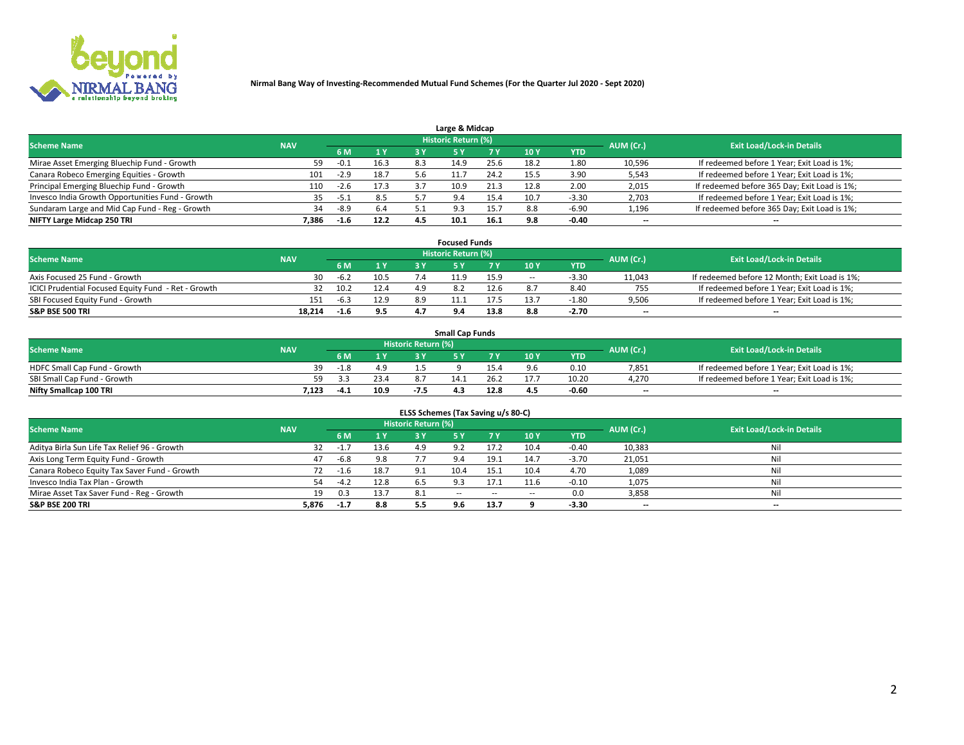

| Large & Midcap                                   |            |        |      |     |                            |      |      |         |                          |                                              |  |  |  |
|--------------------------------------------------|------------|--------|------|-----|----------------------------|------|------|---------|--------------------------|----------------------------------------------|--|--|--|
| <b>Scheme Name</b>                               | <b>NAV</b> |        |      |     | <b>Historic Return (%)</b> |      |      |         | AUM (Cr.)                | <b>Exit Load/Lock-in Details</b>             |  |  |  |
|                                                  |            | 6 M    | 1Y   | 3 Y |                            | 7 V  | 10Y  | YTD     |                          |                                              |  |  |  |
| Mirae Asset Emerging Bluechip Fund - Growth      | 59         | $-0.1$ | 16.3 | 8.3 | 14.9                       | 25.6 | 18.2 | 1.80    | 10,596                   | If redeemed before 1 Year; Exit Load is 1%;  |  |  |  |
| Canara Robeco Emerging Equities - Growth         | 101        | $-2.9$ | 18.7 |     |                            | 24.2 | 15.5 | 3.90    | 5,543                    | If redeemed before 1 Year; Exit Load is 1%;  |  |  |  |
| Principal Emerging Bluechip Fund - Growth        | 110        | $-2.6$ | 17.3 |     | 10.9                       | 21.3 | 12.8 | 2.00    | 2,015                    | If redeemed before 365 Day; Exit Load is 1%; |  |  |  |
| Invesco India Growth Opportunities Fund - Growth |            | -5.1   | 8.5  |     | 9.4                        | 15.4 | 10.7 | $-3.30$ | 2,703                    | If redeemed before 1 Year; Exit Load is 1%;  |  |  |  |
| Sundaram Large and Mid Cap Fund - Reg - Growth   | 34         | -8.9   | 6.4  |     | 02                         | 15.7 | 8.8  | $-6.90$ | 1,196                    | If redeemed before 365 Day; Exit Load is 1%; |  |  |  |
| NIFTY Large Midcap 250 TRI                       | 7.386      | $-1.6$ | 12.2 | 4.5 |                            | 16.1 | 9.8  | $-0.40$ | $\overline{\phantom{a}}$ | $- -$                                        |  |  |  |

|                                                     |            |        |      |            | <b>Focused Funds</b>       |      |        |            |                          |                                               |
|-----------------------------------------------------|------------|--------|------|------------|----------------------------|------|--------|------------|--------------------------|-----------------------------------------------|
| <b>Scheme Name</b>                                  | <b>NAV</b> |        |      |            | <b>Historic Return (%)</b> |      |        |            | AUM (Cr.)                | <b>Exit Load/Lock-in Details</b>              |
|                                                     |            | 6 M    | 1 Y  |            |                            |      | 10 Y   | <b>YTD</b> |                          |                                               |
| Axis Focused 25 Fund - Growth                       | 30         | $-6.2$ | 10.5 |            | 11.9                       | 15.9 | $\sim$ | $-3.30$    | 11,043                   | If redeemed before 12 Month; Exit Load is 1%; |
| ICICI Prudential Focused Equity Fund - Ret - Growth |            | 10.2   | 12.4 |            |                            | 12.6 |        | 8.40       | 755                      | If redeemed before 1 Year; Exit Load is 1%;   |
| SBI Focused Equity Fund - Growth                    | 151        | $-6.3$ | 12.9 | 8.9        |                            | 17.5 |        | $-1.80$    | 9,506                    | If redeemed before 1 Year; Exit Load is 1%;   |
| <b>S&amp;P BSE 500 TRI</b>                          | 18,214     | -1.6   | 9.5  | <b>A</b> : |                            | 13.8 |        | $-2.70$    | $\overline{\phantom{a}}$ | $- -$                                         |

| <b>Small Cap Funds</b>       |            |                                  |      |      |      |      |                 |            |       |                                             |  |  |
|------------------------------|------------|----------------------------------|------|------|------|------|-----------------|------------|-------|---------------------------------------------|--|--|
| <b>Scheme Name</b>           | <b>NAV</b> | Historic Return (%)<br>AUM (Cr.) |      |      |      |      |                 |            |       | <b>Exit Load/Lock-in Details</b>            |  |  |
|                              |            | 6 M                              |      |      |      |      | 10 <sub>Y</sub> | <b>YTD</b> |       |                                             |  |  |
| HDFC Small Cap Fund - Growth | 39         | $-1.8$                           |      |      |      |      |                 | 0.10       | 7,851 | If redeemed before 1 Year; Exit Load is 1%; |  |  |
| SBI Small Cap Fund - Growth  |            |                                  | 23.4 |      | 14.1 |      |                 | 10.20      | 4.270 | If redeemed before 1 Year; Exit Load is 1%; |  |  |
| Nifty Smallcap 100 TRI       | 7.123      | $-4.1$                           | 10.9 | -7.5 |      | 12.8 | 4.5             | $-0.60$    | $- -$ | $- -$                                       |  |  |

| ELSS Schemes (Tax Saving u/s 80-C)           |            |        |      |                            |       |        |        |            |                          |                                  |  |  |  |
|----------------------------------------------|------------|--------|------|----------------------------|-------|--------|--------|------------|--------------------------|----------------------------------|--|--|--|
| <b>Scheme Name</b>                           | <b>NAV</b> |        |      | <b>Historic Return (%)</b> |       |        |        |            | AUM (Cr.)                | <b>Exit Load/Lock-in Details</b> |  |  |  |
|                                              |            | 6 M    | 1Y   | 3 Y                        | -5 Y  | 7 Y    | 10Y    | <b>YTD</b> |                          |                                  |  |  |  |
| Aditya Birla Sun Life Tax Relief 96 - Growth | 32         | $-1.7$ | 13.6 | 4.9                        |       | 17.2   | 10.4   | $-0.40$    | 10,383                   | Nil                              |  |  |  |
| Axis Long Term Equity Fund - Growth          | 47         | $-6.8$ | 9.8  |                            | 9.4   | 19.1   | 14.7   | $-3.70$    | 21,051                   | Nil                              |  |  |  |
| Canara Robeco Equity Tax Saver Fund - Growth | 72         | $-1.6$ | 18.7 | a 1                        | 10.4  | 15.1   | 10.4   | 4.70       | 1,089                    | Nil                              |  |  |  |
| Invesco India Tax Plan - Growth              | 54         | $-4.2$ | 12.8 | 6.5                        | 9.3   | 17.1   | 11.6   | $-0.10$    | 1,075                    | Nil                              |  |  |  |
| Mirae Asset Tax Saver Fund - Reg - Growth    | 19         | 0.3    | 13.7 | -8.1                       | $- -$ | $\sim$ | $\sim$ | $0.0\,$    | 3,858                    | Nil                              |  |  |  |
| S&P BSE 200 TRI                              | 5,876      | $-1.7$ | 8.8  | 5.5                        | 9.6   | 13.7   |        | $-3.30$    | $\overline{\phantom{a}}$ | $- -$                            |  |  |  |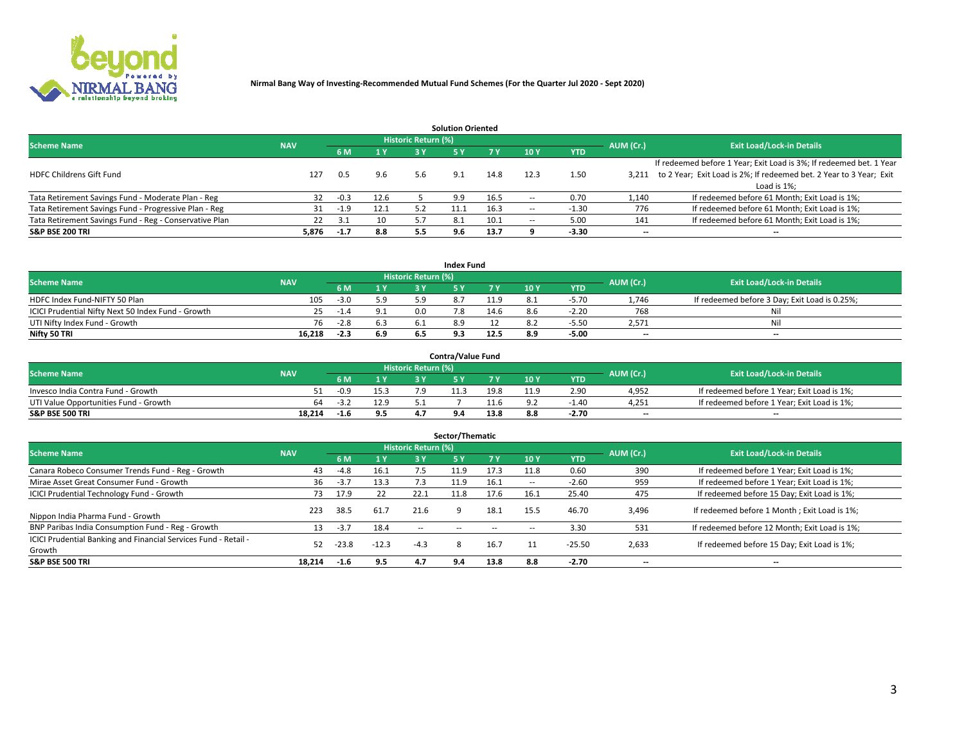

|                                                        |            |            |      |                            | <b>Solution Oriented</b> |      |                          |            |                          |                                                                     |
|--------------------------------------------------------|------------|------------|------|----------------------------|--------------------------|------|--------------------------|------------|--------------------------|---------------------------------------------------------------------|
| <b>Scheme Name</b>                                     | <b>NAV</b> |            |      | <b>Historic Return (%)</b> |                          |      |                          |            | AUM (Cr.)                | <b>Exit Load/Lock-in Details</b>                                    |
|                                                        |            | <b>6 M</b> | 1 Y  | 3 Y                        |                          |      | 10Y                      | <b>YTD</b> |                          |                                                                     |
|                                                        |            |            |      |                            |                          |      |                          |            |                          | If redeemed before 1 Year; Exit Load is 3%; If redeemed bet. 1 Year |
| <b>HDFC Childrens Gift Fund</b>                        | 127        | 0.5        | 9.6  | 5.6                        | 9.1                      | 14.8 | 12.3                     | 1.50       | 3.211                    | to 2 Year; Exit Load is 2%; If redeemed bet. 2 Year to 3 Year; Exit |
|                                                        |            |            |      |                            |                          |      |                          |            |                          | Load is 1%;                                                         |
| Tata Retirement Savings Fund - Moderate Plan - Reg     | 32         | $-0.3$     | 12.6 |                            | 9.9                      | 16.5 | --                       | 0.70       | 1,140                    | If redeemed before 61 Month; Exit Load is 1%;                       |
| Tata Retirement Savings Fund - Progressive Plan - Reg  | 31         | $-1.9$     | 12.1 | 5.2                        |                          | 16.3 | $\overline{\phantom{a}}$ | 1.30       | 776                      | If redeemed before 61 Month; Exit Load is 1%;                       |
| Tata Retirement Savings Fund - Reg - Conservative Plan | 22         | 3.1        | 10   |                            | -8.1                     | 10.1 | --                       | 5.00       | 141                      | If redeemed before 61 Month; Exit Load is 1%;                       |
| S&P BSE 200 TRI                                        | 5,876      | $-1.7$     | 8.8  | 5.5                        | 9.6                      | 13.7 |                          | $-3.30$    | $\overline{\phantom{a}}$ | $- -$                                                               |

|                                                    |            |        |              |                            | <b>Index Fund</b> |      |      |            |                          |                                               |
|----------------------------------------------------|------------|--------|--------------|----------------------------|-------------------|------|------|------------|--------------------------|-----------------------------------------------|
| <b>Scheme Name</b>                                 | <b>NAV</b> |        |              | <b>Historic Return (%)</b> |                   |      |      |            | AUM (Cr.)                | <b>Exit Load/Lock-in Details</b>              |
|                                                    |            |        | $\sqrt{1}$ Y | 2 V                        |                   | 7 V  | 10 Y | <b>YTD</b> |                          |                                               |
| HDFC Index Fund-NIFTY 50 Plan                      | 105        | $-3.0$ | 5.9          |                            |                   | 11.9 |      | $-5.70$    | 1.746                    | If redeemed before 3 Day; Exit Load is 0.25%; |
| ICICI Prudential Nifty Next 50 Index Fund - Growth |            | -1.4   |              | n n                        |                   | 14.6 | 8 h  | $-2.20$    | 768                      | Nil                                           |
| UTI Nifty Index Fund - Growth                      | 76         | $-2.8$ | 6.3          |                            |                   |      |      | $-5.5C$    | 2,571                    | Nil                                           |
| Nifty 50 TRI                                       | 16,218     | -2.3   | 6.9          |                            |                   | 12.5 | 8.9  | $-5.00$    | $\overline{\phantom{a}}$ | $- -$                                         |

|                                       |            |        |            |                            | <b>Contra/Value Fund</b> |      |     |            |                          |                                             |
|---------------------------------------|------------|--------|------------|----------------------------|--------------------------|------|-----|------------|--------------------------|---------------------------------------------|
| <b>Scheme Name</b>                    | <b>NAV</b> |        |            | <b>Historic Return (%)</b> |                          |      |     |            | AUM (Cr.)                | <b>Exit Load/Lock-in Details</b>            |
|                                       |            |        | $\bm{A}$ W |                            |                          | 7 V  | 10Y | <b>YTD</b> |                          |                                             |
| Invesco India Contra Fund - Growth    |            | $-0.9$ | 15.3       |                            | 11.3                     | 19.8 |     | 2.90       | 4,952                    | If redeemed before 1 Year; Exit Load is 1%; |
| UTI Value Opportunities Fund - Growth | 64         | ے.≿-   | 12.9       |                            |                          |      |     | -1.40      | 4,251                    | If redeemed before 1 Year; Exit Load is 1%; |
| <b>S&amp;P BSE 500 TRI</b>            | 18.214     | $-1.6$ | 9.5        |                            |                          | 13.8 |     | $-2.70$    | $\overline{\phantom{a}}$ | $- -$                                       |

| Sector/Thematic                                                           |            |         |         |                     |            |            |                          |            |           |                                               |  |  |  |
|---------------------------------------------------------------------------|------------|---------|---------|---------------------|------------|------------|--------------------------|------------|-----------|-----------------------------------------------|--|--|--|
| <b>Scheme Name</b>                                                        | <b>NAV</b> |         |         | Historic Return (%) |            |            |                          |            | AUM (Cr.) | <b>Exit Load/Lock-in Details</b>              |  |  |  |
|                                                                           |            | 6 M     | 1 Y     | 3 Y                 | <b>5Y</b>  | <b>7 Y</b> | 10Y                      | <b>YTD</b> |           |                                               |  |  |  |
| Canara Robeco Consumer Trends Fund - Reg - Growth                         | 43         | $-4.8$  | 16.1    | 7.5                 | 11.9       | 17.3       | 11.8                     | 0.60       | 390       | If redeemed before 1 Year; Exit Load is 1%;   |  |  |  |
| Mirae Asset Great Consumer Fund - Growth                                  | 36         | $-3.7$  | 13.3    | 7.3                 | 11.9       | 16.1       | $\overline{\phantom{a}}$ | $-2.60$    | 959       | If redeemed before 1 Year; Exit Load is 1%;   |  |  |  |
| <b>ICICI Prudential Technology Fund - Growth</b>                          | 73.        | 17.9    | 22      | 22.1                | 11.8       | 17.6       | 16.1                     | 25.40      | 475       | If redeemed before 15 Day; Exit Load is 1%;   |  |  |  |
| Nippon India Pharma Fund - Growth                                         | 223        | 38.5    | 61.7    | 21.6                |            | 18.1       | 15.5                     | 46.70      | 3,496     | If redeemed before 1 Month; Exit Load is 1%;  |  |  |  |
| BNP Paribas India Consumption Fund - Reg - Growth                         | 13         | $-3.7$  | 18.4    | $\sim$ $\sim$       | $\sim$ $-$ | $- -$      | $\overline{\phantom{a}}$ | 3.30       | 531       | If redeemed before 12 Month; Exit Load is 1%; |  |  |  |
| ICICI Prudential Banking and Financial Services Fund - Retail -<br>Growth | 52         | $-23.8$ | $-12.3$ | $-4.3$              |            | 16.7       |                          | $-25.50$   | 2,633     | If redeemed before 15 Day; Exit Load is 1%;   |  |  |  |
| <b>S&amp;P BSE 500 TRI</b>                                                | 18.214     | $-1.6$  | 9.5     | 4.7                 | 9.4        | 13.8       | 8.8                      | $-2.70$    | $- -$     | --                                            |  |  |  |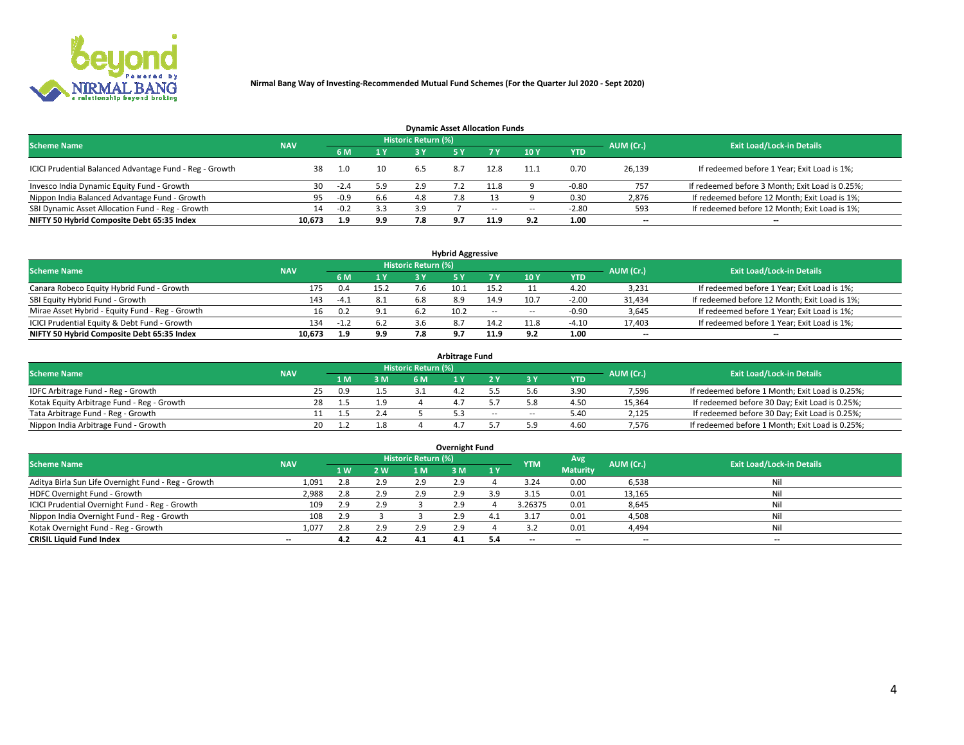

| <b>Dynamic Asset Allocation Funds</b>                   |            |        |                 |                            |     |        |                          |            |           |                                                 |  |  |  |  |
|---------------------------------------------------------|------------|--------|-----------------|----------------------------|-----|--------|--------------------------|------------|-----------|-------------------------------------------------|--|--|--|--|
| <b>Scheme Name</b>                                      | <b>NAV</b> |        |                 | <b>Historic Return (%)</b> |     |        |                          |            | AUM (Cr.) | <b>Exit Load/Lock-in Details</b>                |  |  |  |  |
|                                                         |            | 6 M    | 1 Y             |                            |     |        | $-10Y$                   | <b>YTD</b> |           |                                                 |  |  |  |  |
| ICICI Prudential Balanced Advantage Fund - Reg - Growth |            | 1.0    | 10 <sup>1</sup> | 6.5                        | 8.7 | 12.8   | 11.1                     | 0.70       | 26,139    | If redeemed before 1 Year; Exit Load is 1%;     |  |  |  |  |
| Invesco India Dynamic Equity Fund - Growth              | 30         | $-2.4$ | 5.9             | 2.9                        |     | 11.8   |                          | $-0.80$    | 757       | If redeemed before 3 Month; Exit Load is 0.25%; |  |  |  |  |
| Nippon India Balanced Advantage Fund - Growth           | 95         | $-0.9$ | 6.6             | 4.8                        | 7.8 |        |                          | 0.30       | 2,876     | If redeemed before 12 Month; Exit Load is 1%;   |  |  |  |  |
| SBI Dynamic Asset Allocation Fund - Reg - Growth        | 14         | $-0.2$ | 3.3             | 3.9                        |     | $\sim$ | $\overline{\phantom{a}}$ | $-2.80$    | 593       | If redeemed before 12 Month; Exit Load is 1%;   |  |  |  |  |
| NIFTY 50 Hybrid Composite Debt 65:35 Index              | 10,673     | 1.9    | 9.9             | 7.8                        | 9.7 | 11.9   | 9.2                      | 1.00       | $- -$     | $- -$                                           |  |  |  |  |

| <b>Hybrid Aggressive</b>                        |            |        |      |                     |      |            |                          |            |                          |                                               |  |  |  |  |
|-------------------------------------------------|------------|--------|------|---------------------|------|------------|--------------------------|------------|--------------------------|-----------------------------------------------|--|--|--|--|
| <b>Scheme Name</b>                              | <b>NAV</b> |        |      | Historic Return (%) |      |            |                          |            | AUM (Cr.)                | <b>Exit Load/Lock-in Details</b>              |  |  |  |  |
|                                                 |            | 6 M    | 1 Y  | RУ                  |      | 7 V        | 10Y                      | <b>YTD</b> |                          |                                               |  |  |  |  |
| Canara Robeco Equity Hybrid Fund - Growth       | 175        | 0.4    | 15.2 |                     | 10.1 | 15.2       |                          | 4.20       | 3,231                    | If redeemed before 1 Year; Exit Load is 1%;   |  |  |  |  |
| SBI Equity Hybrid Fund - Growth                 | 143        | $-4.1$ | 8.1  | 6.8                 | 8.9  | 14.9       | 10.7                     | $-2.00$    | 31,434                   | If redeemed before 12 Month; Exit Load is 1%; |  |  |  |  |
| Mirae Asset Hybrid - Equity Fund - Reg - Growth | 16         | 0.2    | 9.1  |                     | 10.2 | $\sim$ $-$ | $\overline{\phantom{a}}$ | -0.90      | 3,645                    | If redeemed before 1 Year; Exit Load is 1%;   |  |  |  |  |
| ICICI Prudential Equity & Debt Fund - Growth    | 134        | -1.2   | 6.2  |                     |      | 14.2       | 11.8                     | $-4.10$    | 17,403                   | If redeemed before 1 Year; Exit Load is 1%;   |  |  |  |  |
| NIFTY 50 Hybrid Composite Debt 65:35 Index      | 10.673     | 1.9    | 9.9  |                     |      | 11.9       |                          | 1.00       | $\overline{\phantom{a}}$ | $- -$                                         |  |  |  |  |

| Arbitrage Fund                             |            |           |     |                     |  |        |     |            |           |                                                 |  |  |  |  |
|--------------------------------------------|------------|-----------|-----|---------------------|--|--------|-----|------------|-----------|-------------------------------------------------|--|--|--|--|
| <b>Scheme Name</b>                         | <b>NAV</b> |           |     | Historic Return (%) |  |        |     |            | AUM (Cr.) | <b>Exit Load/Lock-in Details</b>                |  |  |  |  |
|                                            |            | 1 M.      | 3 M | 6 M                 |  |        |     | <b>YTD</b> |           |                                                 |  |  |  |  |
| IDFC Arbitrage Fund - Reg - Growth         |            | 25<br>0.9 |     |                     |  |        |     | 3.90       | 7,596     | If redeemed before 1 Month; Exit Load is 0.25%; |  |  |  |  |
| Kotak Equity Arbitrage Fund - Reg - Growth |            | 28        |     |                     |  |        |     | 4.50       | 15,364    | If redeemed before 30 Day; Exit Load is 0.25%;  |  |  |  |  |
| Tata Arbitrage Fund - Reg - Growth         |            |           | 2.4 |                     |  | $\sim$ | $-$ | 5.40       | 2,125     | If redeemed before 30 Day; Exit Load is 0.25%;  |  |  |  |  |
| Nippon India Arbitrage Fund - Growth       |            | 20        |     |                     |  |        |     | 4.60       | 7,576     | If redeemed before 1 Month; Exit Load is 0.25%; |  |  |  |  |

| Overnight Fund                                      |            |           |     |                            |     |           |            |                 |           |                                  |  |  |  |  |
|-----------------------------------------------------|------------|-----------|-----|----------------------------|-----|-----------|------------|-----------------|-----------|----------------------------------|--|--|--|--|
| <b>Scheme Name</b>                                  | <b>NAV</b> |           |     | <b>Historic Return (%)</b> |     |           | <b>YTM</b> | Avg             | AUM (Cr.) | <b>Exit Load/Lock-in Details</b> |  |  |  |  |
|                                                     |            | <b>1W</b> | 2W  | 1 M.                       | 3 M | <b>1Y</b> |            | <b>Maturity</b> |           |                                  |  |  |  |  |
| Aditya Birla Sun Life Overnight Fund - Reg - Growth | 1,091      | 2.8       | 2.9 | 2.9                        | 2.9 |           | 3.24       | 0.00            | 6,538     | Nil                              |  |  |  |  |
| HDFC Overnight Fund - Growth                        | 2,988      |           | 2.9 | 2.9                        | 2.9 |           | 3.15       | 0.01            | 13,165    | Nil                              |  |  |  |  |
| ICICI Prudential Overnight Fund - Reg - Growth      | 109        | 2.9       | 2.9 |                            | 2.9 |           | 3.26375    | 0.01            | 8,645     | Nil                              |  |  |  |  |
| Nippon India Overnight Fund - Reg - Growth          | 108        | 2.9       |     |                            | 2.9 |           | 3.17       | 0.01            | 4,508     | Nil                              |  |  |  |  |
| Kotak Overnight Fund - Reg - Growth                 | 1.077      | 2.8       | 2.9 |                            | 2.9 |           |            | 0.01            | 4,494     | Nil                              |  |  |  |  |
| <b>CRISIL Liquid Fund Index</b>                     | $- -$      | 4.2       | 4.2 | 4.1                        | 4.1 | 5.4       | --         | $- -$           | $-$       | $- -$                            |  |  |  |  |

### **Overnight Fund**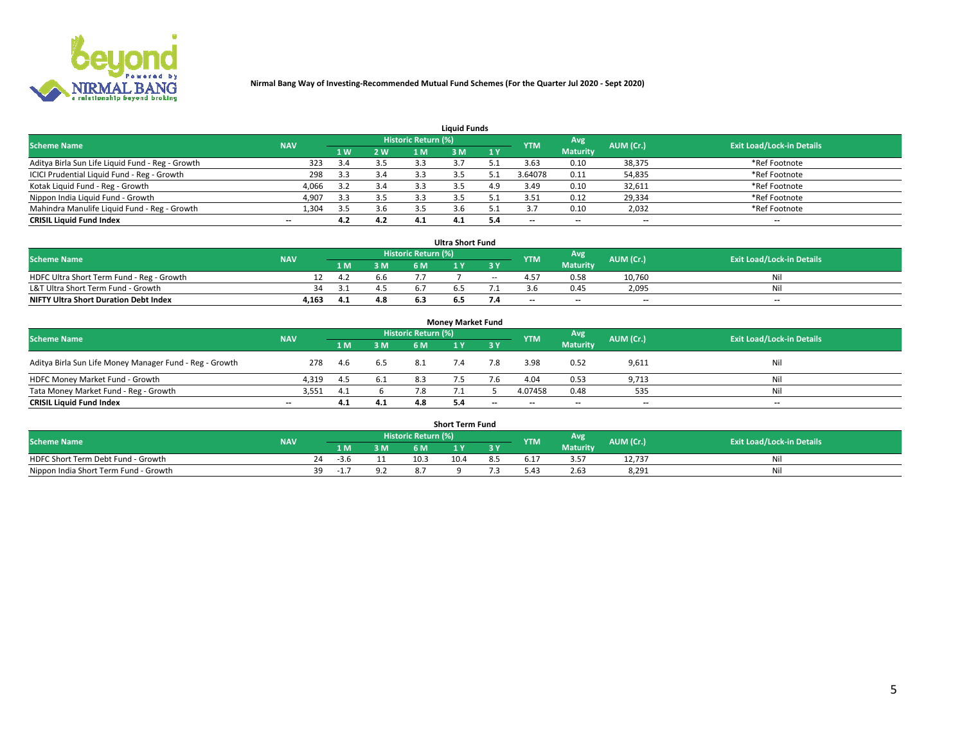

|                                                  |            |     |     |                     | <b>Liquid Funds</b> |     |            |                 |           |                                  |
|--------------------------------------------------|------------|-----|-----|---------------------|---------------------|-----|------------|-----------------|-----------|----------------------------------|
| <b>Scheme Name</b>                               | <b>NAV</b> |     |     | Historic Return (%) |                     |     | <b>YTM</b> | Avg             | AUM (Cr.) | <b>Exit Load/Lock-in Details</b> |
|                                                  |            | 4W  | 2 W | 1 M                 | M                   | 1 Y |            | <b>Maturity</b> |           |                                  |
| Aditya Birla Sun Life Liquid Fund - Reg - Growth | 323        |     | 3.5 | 3.3                 |                     |     | 3.63       | 0.10            | 38,375    | *Ref Footnote                    |
| ICICI Prudential Liquid Fund - Reg - Growth      | 298        | 3.3 | 3.4 |                     |                     |     | 3.64078    | 0.11            | 54,835    | *Ref Footnote                    |
| Kotak Liquid Fund - Reg - Growth                 | 4,066      |     | 3.4 |                     |                     | 4.9 | 3.49       | 0.10            | 32,611    | *Ref Footnote                    |
| Nippon India Liquid Fund - Growth                | 4,907      | 3.3 | 3.5 |                     |                     |     | 3.51       | 0.12            | 29,334    | *Ref Footnote                    |
| Mahindra Manulife Liquid Fund - Reg - Growth     | 1,304      | 3.5 | 3.6 | 3.5                 |                     |     |            | 0.10            | 2,032     | *Ref Footnote                    |
| <b>CRISIL Liquid Fund Index</b>                  | $- -$      | 4.2 | 4.2 | 4.1                 | 4.1                 |     | --         | $- -$           | --        | $- -$                            |

| <b>Ultra Short Fund</b>                      |            |      |     |                            |     |        |            |                 |                          |                                  |  |  |  |
|----------------------------------------------|------------|------|-----|----------------------------|-----|--------|------------|-----------------|--------------------------|----------------------------------|--|--|--|
| <b>Scheme Name</b>                           | <b>NAV</b> |      |     | <b>Historic Return (%)</b> |     |        | <b>YTM</b> | Avg             | AUM (Cr.)                | <b>Exit Load/Lock-in Details</b> |  |  |  |
|                                              |            | 1 M. | 3 M | 6 M                        |     | 3 Y    |            | <b>Maturity</b> |                          |                                  |  |  |  |
| HDFC Ultra Short Term Fund - Reg - Growth    |            | 4.2  | b.b |                            |     | $\sim$ | 4.57       | 0.58            | 10.760                   | Nil                              |  |  |  |
| L&T Ultra Short Term Fund - Growth           | 34         |      |     |                            |     |        |            | 0.45            | 2,095                    | Nil                              |  |  |  |
| <b>NIFTY Ultra Short Duration Debt Index</b> | 4,163      | 4.1  | 4.8 |                            | כ.ס |        | $-$        | $- -$           | $\overline{\phantom{a}}$ | $-$                              |  |  |  |

| <b>Monev Market Fund</b>                                |            |      |     |                     |     |                          |                          |                 |                          |                                  |  |  |  |  |
|---------------------------------------------------------|------------|------|-----|---------------------|-----|--------------------------|--------------------------|-----------------|--------------------------|----------------------------------|--|--|--|--|
| <b>Scheme Name</b>                                      | <b>NAV</b> |      |     | Historic Return (%) |     |                          | <b>YTM</b>               | Avg             | AUM (Cr.)                | <b>Exit Load/Lock-in Details</b> |  |  |  |  |
|                                                         |            | 1 M  | 3 M | 6 M                 |     | 3 Y                      |                          | <b>Maturity</b> |                          |                                  |  |  |  |  |
| Aditya Birla Sun Life Money Manager Fund - Reg - Growth | 278        | -4.6 | 6.5 | 8.1                 | 7.4 | 7.8                      | 3.98                     | 0.52            | 9,611                    | Nil                              |  |  |  |  |
| HDFC Money Market Fund - Growth                         | 4.319      | -4.5 | 6.1 |                     |     |                          | 4.04                     | 0.53            | 9,713                    | Nil                              |  |  |  |  |
| Tata Money Market Fund - Reg - Growth                   | 3,551      | 4.1  |     |                     |     |                          | 4.07458                  | 0.48            | 535                      | Nil                              |  |  |  |  |
| <b>CRISIL Liquid Fund Index</b>                         | $- -$      | 4.1  | 4.1 | 4.8                 | 5.4 | $\overline{\phantom{a}}$ | $\overline{\phantom{a}}$ | $-$             | $\overline{\phantom{a}}$ | $- -$                            |  |  |  |  |

|                                       |            |       |     |                     | <b>Short Term Fund</b> |    |      |                 |           |                                  |
|---------------------------------------|------------|-------|-----|---------------------|------------------------|----|------|-----------------|-----------|----------------------------------|
| <b>Scheme Name</b>                    | <b>NAV</b> |       |     | Historic Return (%) |                        |    | YTM  | Avg             | AUM (Cr.) | <b>Exit Load/Lock-in Details</b> |
|                                       |            | 1 M . | 3 M | 6 M                 |                        | 2V |      | <b>Maturity</b> |           |                                  |
| HDFC Short Term Debt Fund - Growth    |            | -3.6  |     | 10.3                | 10.4                   |    | 17.د |                 | 12,737    | M                                |
| Nippon India Short Term Fund - Growth | 39         | - 11  | 9.2 |                     |                        |    | 0.42 | 2.63            | 8,291     | N                                |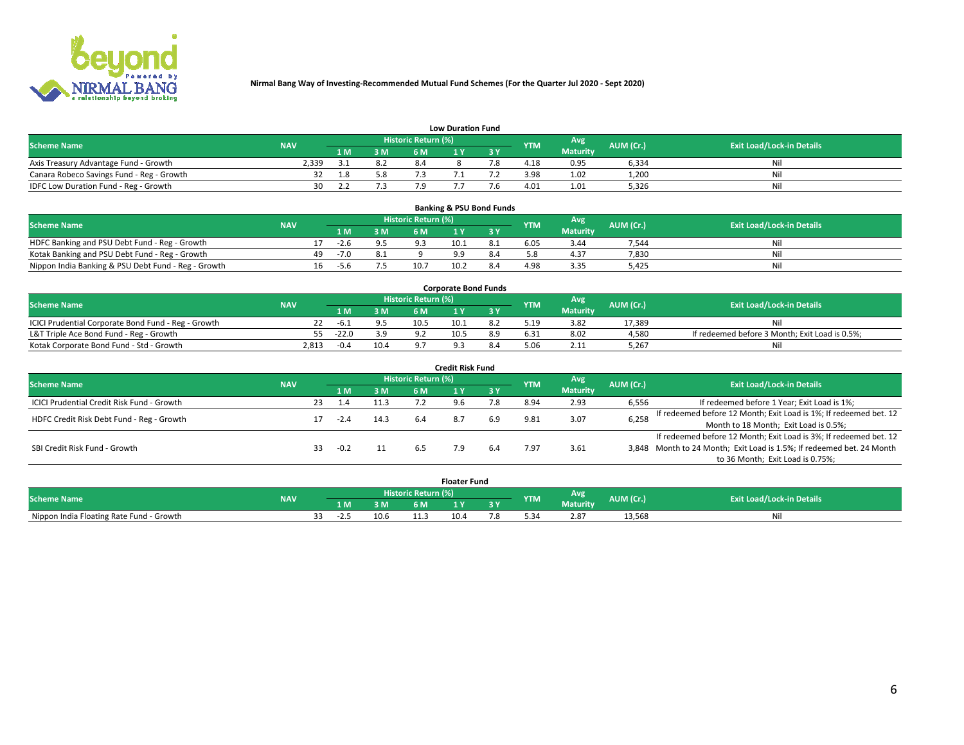

|                                           | <b>Low Duration Fund</b> |     |     |                     |  |  |            |                 |           |                                  |  |  |  |  |  |
|-------------------------------------------|--------------------------|-----|-----|---------------------|--|--|------------|-----------------|-----------|----------------------------------|--|--|--|--|--|
| <b>Scheme Name</b>                        | <b>NAV</b>               |     |     | Historic Return (%) |  |  | <b>YTM</b> | Avg             | AUM (Cr.) | <b>Exit Load/Lock-in Details</b> |  |  |  |  |  |
|                                           |                          | 1 M | 3 M |                     |  |  |            | <b>Maturity</b> |           |                                  |  |  |  |  |  |
| Axis Treasury Advantage Fund - Growth     | 2.339                    |     | 8.2 |                     |  |  | 4.18       | 0.95            | 6.334     | Nil                              |  |  |  |  |  |
| Canara Robeco Savings Fund - Reg - Growth |                          | 1.8 |     |                     |  |  | 3.98       | 1.02            | 1,200     | Nil                              |  |  |  |  |  |
| IDFC Low Duration Fund - Reg - Growth     | 30                       |     |     |                     |  |  | 4.01       | 1.01            | 5,326     | Nil                              |  |  |  |  |  |

| <b>Banking &amp; PSU Bond Funds</b>                 |            |    |        |     |                     |      |     |            |                 |           |                                  |  |  |  |
|-----------------------------------------------------|------------|----|--------|-----|---------------------|------|-----|------------|-----------------|-----------|----------------------------------|--|--|--|
| <b>Scheme Name</b>                                  | <b>NAV</b> |    |        |     | Historic Return (%) |      |     | <b>YTM</b> | Avg             | AUM (Cr.) | <b>Exit Load/Lock-in Details</b> |  |  |  |
|                                                     |            |    | 1 M    | 3 M | 6 M                 |      | 3 V |            | <b>Maturity</b> |           |                                  |  |  |  |
| HDFC Banking and PSU Debt Fund - Reg - Growth       |            |    | $-2.6$ |     |                     | 10.1 |     | 6.05       | 3.44            | 7,544     | Ni                               |  |  |  |
| Kotak Banking and PSU Debt Fund - Reg - Growth      |            | 49 | $-7.0$ |     |                     |      | 8.4 |            | 4.37            | 7,830     | Ni                               |  |  |  |
| Nippon India Banking & PSU Debt Fund - Reg - Growth |            | 16 | -5.6   |     | 10.7                | 10.2 | 8.4 | 4.98       | 3.35            | 5.425     | Ni                               |  |  |  |

| <b>Corporate Bond Funds</b>                         |            |         |      |                     |      |  |            |                 |           |                                                |  |  |  |  |
|-----------------------------------------------------|------------|---------|------|---------------------|------|--|------------|-----------------|-----------|------------------------------------------------|--|--|--|--|
| <b>Scheme Name</b>                                  | <b>NAV</b> |         |      | Historic Return (%) |      |  | <b>YTM</b> | Avg             | AUM (Cr.) | <b>Exit Load/Lock-in Details</b>               |  |  |  |  |
|                                                     |            |         | 3 M  | 6 M                 |      |  |            | <b>Maturity</b> |           |                                                |  |  |  |  |
| ICICI Prudential Corporate Bond Fund - Reg - Growth |            | -b.i    |      | 10.5                | 10.1 |  | 5.19       | 3.82            | 17.389    | Nil                                            |  |  |  |  |
| L&T Triple Ace Bond Fund - Reg - Growth             |            | $-22.0$ | 3.9  | $\circ$             | 10.5 |  | 6.31       | 8.02            | 4,580     | If redeemed before 3 Month; Exit Load is 0.5%; |  |  |  |  |
| Kotak Corporate Bond Fund - Std - Growth            | 2.813      | $-0.4$  | 10.4 |                     |      |  |            | 2.11            | 5,267     | Nil                                            |  |  |  |  |

| Credit Risk Fund                           |            |    |        |      |                            |  |           |            |                 |           |                                                                       |  |  |  |
|--------------------------------------------|------------|----|--------|------|----------------------------|--|-----------|------------|-----------------|-----------|-----------------------------------------------------------------------|--|--|--|
| <b>Scheme Name</b>                         | <b>NAV</b> |    |        |      | <b>Historic Return (%)</b> |  |           | <b>YTM</b> | Avg             | AUM (Cr.) | <b>Exit Load/Lock-in Details</b>                                      |  |  |  |
|                                            |            |    | 1 M    | 3 M  | 6 M                        |  | <b>3Y</b> |            | <b>Maturity</b> |           |                                                                       |  |  |  |
| ICICI Prudential Credit Risk Fund - Growth |            | 23 | 1.4    | 11.3 |                            |  |           | 8.94       | 2.93            | 6,556     | If redeemed before 1 Year; Exit Load is 1%;                           |  |  |  |
| HDFC Credit Risk Debt Fund - Reg - Growth  |            |    | $-2.4$ | 14.3 | 6.4                        |  | 6.9       | 9.81       | 3.07            | 6,258     | If redeemed before 12 Month; Exit Load is 1%; If redeemed bet. 12     |  |  |  |
|                                            |            |    |        |      |                            |  |           |            |                 |           | Month to 18 Month; Exit Load is 0.5%;                                 |  |  |  |
|                                            |            |    |        |      |                            |  |           |            |                 |           | If redeemed before 12 Month; Exit Load is 3%; If redeemed bet. 12     |  |  |  |
| SBI Credit Risk Fund - Growth              |            |    | $-0.2$ |      |                            |  |           | '.97       | 3.61            |           | 3,848 Month to 24 Month; Exit Load is 1.5%; If redeemed bet. 24 Month |  |  |  |
|                                            |            |    |        |      |                            |  |           |            |                 |           | to 36 Month; Exit Load is 0.75%;                                      |  |  |  |

| <b>Floater Fund</b>                      |            |  |      |      |                       |      |   |            |                 |           |                                  |
|------------------------------------------|------------|--|------|------|-----------------------|------|---|------------|-----------------|-----------|----------------------------------|
| <b>Scheme Name</b>                       | <b>NAV</b> |  |      |      | Historic Return (%) \ |      |   | <b>YTM</b> | Avg             | AUM (Cr.) | <b>Exit Load/Lock-in Details</b> |
|                                          |            |  | 1 M  | ЗM   | 6 M                   | - 17 | . |            | <b>Maturity</b> |           |                                  |
| Nippon India Floating Rate Fund - Growth |            |  | $-L$ | 10.6 |                       | 10.4 |   |            | 2.87            | 13,568    | NL                               |